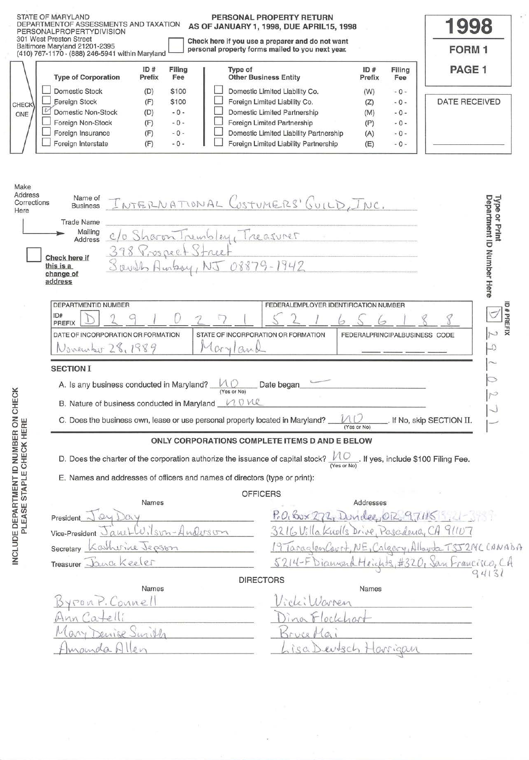|                                          | STATE OF MARYLAND<br>PERSONAL PROPERTY RETURN<br>DEPARTMENTOF ASSESSMENTS AND TAXATION<br>AS OF JANUARY 1, 1998, DUE APRIL15, 1998<br>PERSONALPROPERTYDIVISION<br>301 West Preston Street<br>Check here if you use a preparer and do not want<br>Baltimore Maryland 21201-2395<br>personal property forms mailed to you next year.<br>(410) 767-1170 · (888) 246-5941 within Maryland                                                                                                                                                                           | 1998<br><b>FORM1</b>                       |
|------------------------------------------|-----------------------------------------------------------------------------------------------------------------------------------------------------------------------------------------------------------------------------------------------------------------------------------------------------------------------------------------------------------------------------------------------------------------------------------------------------------------------------------------------------------------------------------------------------------------|--------------------------------------------|
|                                          | ID#<br>Filing<br>Type of<br>ID#<br>Filing<br><b>Type of Corporation</b><br><b>Other Business Entity</b><br>Prefix<br>Fee<br>Prefix<br>Fee                                                                                                                                                                                                                                                                                                                                                                                                                       | PAGE <sub>1</sub>                          |
| <b>CHECK</b><br>$\mathcal{U}$<br>ONE     | <b>Domestic Stock</b><br>Domestic Limited Liability Co.<br>\$100<br>(D)<br>(W)<br>$-0-$<br><b>Eoreign Stock</b><br>Foreign Limited Liability Co.<br>(F)<br>\$100<br>(Z)<br>$-0-$<br>Domestic Limited Partnership<br><b>Domestic Non-Stock</b><br>(D)<br>$-0-$<br>(M)<br>$-0-$<br>Foreign Non-Stock<br>Foreign Limited Partnership<br>$-0-$<br>(F)<br>(P)<br>$-0-$<br>Foreign Insurance<br>Domestic Limited Liability Partnership<br>(F)<br>$-0-$<br>(A)<br>$-0-$<br>Foreign Interstate<br>Foreign Limited Liability Partnership<br>$-0-$<br>(F)<br>(E)<br>$-0-$ | <b>DATE RECEIVED</b>                       |
| Make<br>Address<br>Corrections<br>Here   | Name of<br>INTERNATIONAL CUSTUMERS' GUILD, INC.<br><b>Business</b><br><b>Trade Name</b><br>Mailing<br>C/o Sharon Trembley, Treasurer<br>Address<br>398 Prospect Street<br>Check here if<br>Sault Ambry, NJ 08879-1942<br>this is a<br>change of                                                                                                                                                                                                                                                                                                                 | Department ID Number Here<br>Type or Print |
|                                          | address                                                                                                                                                                                                                                                                                                                                                                                                                                                                                                                                                         |                                            |
|                                          | DEPARTMENTID NUMBER<br>FEDERALEMPLOYER IDENTIFICATION NUMBER<br>ID#                                                                                                                                                                                                                                                                                                                                                                                                                                                                                             | <b>D#PREFIX</b>                            |
|                                          | <b>PREFIX</b><br>DATE OF INCORPORATION OR FORMATION<br>STATE OF INCORPORATION OR FORMATION<br>FEDERALPRINCIPALBUSINESS CODE<br>November 28, 1989<br>Cryl<br>an                                                                                                                                                                                                                                                                                                                                                                                                  | $\cup$<br>Q                                |
|                                          | <b>SECTION I</b>                                                                                                                                                                                                                                                                                                                                                                                                                                                                                                                                                |                                            |
|                                          | A. Is any business conducted in Maryland? $\Box$ $\Box$<br>Date began                                                                                                                                                                                                                                                                                                                                                                                                                                                                                           |                                            |
|                                          | B. Nature of business conducted in Maryland 100                                                                                                                                                                                                                                                                                                                                                                                                                                                                                                                 |                                            |
|                                          | C. Does the business own, lease or use personal property located in Maryland?<br>(Yes or No)                                                                                                                                                                                                                                                                                                                                                                                                                                                                    | If No, skip SECTION II.                    |
| NUMBER ON CHECK<br>CHECK HERE            | ONLY CORPORATIONS COMPLETE ITEMS D AND E BELOW                                                                                                                                                                                                                                                                                                                                                                                                                                                                                                                  |                                            |
|                                          | D. Does the charter of the corporation authorize the issuance of capital stock?<br>(Yes or No)                                                                                                                                                                                                                                                                                                                                                                                                                                                                  | . If yes, include \$100 Filing Fee.        |
| INCLUDE DEPARTMENT ID<br>PLEASE STAPLE C | E. Names and addresses of officers and names of directors (type or print):<br><b>OFFICERS</b>                                                                                                                                                                                                                                                                                                                                                                                                                                                                   |                                            |
|                                          | Names<br>Addresses                                                                                                                                                                                                                                                                                                                                                                                                                                                                                                                                              |                                            |
|                                          | P.O. Box 272, Dundee, OR 97115<br>President<br>Wilson-Anderson<br>3216 Villa Knolls Drive, Pascidence, CA 91107<br>QML                                                                                                                                                                                                                                                                                                                                                                                                                                          |                                            |
|                                          | Vice-President $\cup$<br>19 TaraglenCourt, NE, Calgery, Alloyde TSJ2MCCANABA<br>Katherine Jepson<br>Secretary                                                                                                                                                                                                                                                                                                                                                                                                                                                   |                                            |
|                                          | 5214-FDianonaHeichts<br>Treasurer Jana Keeler                                                                                                                                                                                                                                                                                                                                                                                                                                                                                                                   | #320, San Francisco, CA                    |
|                                          | <b>DIRECTORS</b><br>Names<br>Names                                                                                                                                                                                                                                                                                                                                                                                                                                                                                                                              | 94131                                      |
|                                          | counel                                                                                                                                                                                                                                                                                                                                                                                                                                                                                                                                                          |                                            |
|                                          |                                                                                                                                                                                                                                                                                                                                                                                                                                                                                                                                                                 |                                            |
|                                          | enise Surill<br>$2^7$<br>O <sub>A</sub>                                                                                                                                                                                                                                                                                                                                                                                                                                                                                                                         |                                            |
|                                          | SC<br>amala<br>$uv$ +3 $c$<br>arrigan                                                                                                                                                                                                                                                                                                                                                                                                                                                                                                                           |                                            |

 $\hat{\delta}^{\mu}_{\mu}$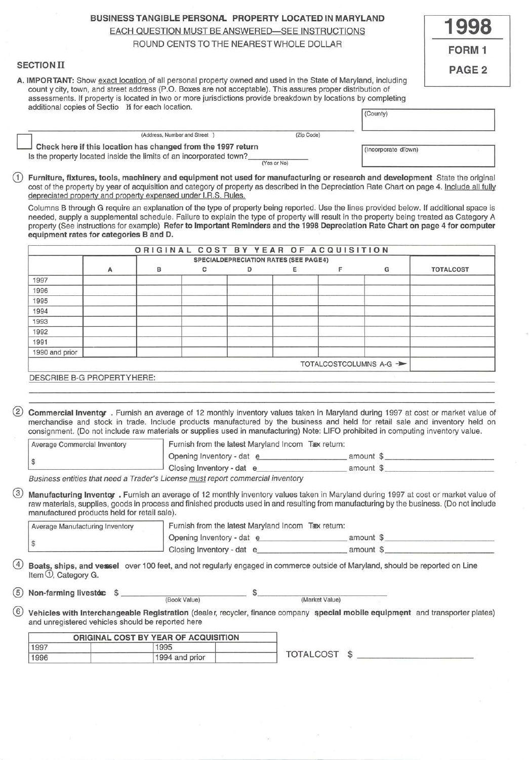# BUSINESS TANGIBLE PERSONA. PROPERTY LOCATED IN MARYLAND

**1998** 

FORM 1

PAGE<sub>2</sub>

EACH QUESTION MUST BE ANSWERED-SEE INSTRUCTIONS

# ROUND CENTS TO THE NEAREST WHOLE DOLLAR

# SECTION II

A. IMPORTANT: Show exact location of all personal property owned and used in the State of Maryland, including county city, town, and street address (P.O. Boxes are not acceptable). This assures proper distribution of assessments. If property is located in two or more jurisdictions provide breakdown by locations by completing additional copies of Sectio H for each location.

|                                                                                                                                    |             | I (County)          |  |
|------------------------------------------------------------------------------------------------------------------------------------|-------------|---------------------|--|
| (Address, Number and Street                                                                                                        | (Zip Code)  |                     |  |
| Check here if this location has changed from the 1997 return<br>Is the property located inside the limits of an incorporated town? |             | (Incorporate dlown) |  |
|                                                                                                                                    | (Yes or No) |                     |  |

Furniture, fixtures, tools, machinery and equipment not used for manufacturing or research and development State the original cost of the property by year of acquisition and category of property as described in the Depreciation Rate Chart on page 4. Include all fully depreciated property and property expensed under l.R.S. Rules.

Columns B through G require an explanation of the type of property being reported. Use the lines provided below. If additional space is needed, supply a supplemental schedule. Failure to explain the type of property will result in the property being treated as Category A property (See instructions for example) Refer to Important Reminders and the 1998 Depreciation Rate Chart on page 4 for computer equipment rates for categories B and D.

|                |   | ORIGINAL COST BY YEAR OF ACQUISITION |   |                                              |   |                        |                  |
|----------------|---|--------------------------------------|---|----------------------------------------------|---|------------------------|------------------|
|                |   |                                      |   | <b>SPECIALDEPRECIATION RATES (SEE PAGE4)</b> |   |                        |                  |
|                | А | в                                    | c | D                                            | Ε | G                      | <b>TOTALCOST</b> |
| 1997           |   |                                      |   |                                              |   |                        |                  |
| 1996           |   |                                      |   |                                              |   |                        |                  |
| 1995           |   |                                      |   |                                              |   |                        |                  |
| 1994           |   |                                      |   |                                              |   |                        |                  |
| 1993           |   |                                      |   |                                              |   |                        |                  |
| 1992           |   |                                      |   |                                              |   |                        |                  |
| 1991           |   |                                      |   |                                              |   |                        |                  |
| 1990 and prior |   |                                      |   |                                              |   |                        |                  |
|                |   |                                      |   |                                              |   | TOTALCOSTCOLUMNS A-G - |                  |

DESCRIBE B-G PROPERTYHERE:

® Commercial lnventqr . Furnish an average of 12 monthly inventory values taken in Maryland during 1997 at cost or market value of merchandise and stock in trade. Include products manufactured by the business and held for retail sale and inventory held on consignment. (Do not include raw materials or supplies used in manufacturing) Note: LIFO prohibited in computing inventory value.

| <b>Average Commercial Inventory</b> | Furnish from the latest Maryland Incom Taex return: |           |  |
|-------------------------------------|-----------------------------------------------------|-----------|--|
|                                     | Opening Inventory - dat e                           | amount \$ |  |
|                                     | Closing Inventory - dat                             | amount \$ |  |

Business entities that need a Trader's License must report commercial inventory

(3) Manufacturing Inventor . Furnish an average of 12 monthly inventory values taken in Maryland during 1997 at cost or market value of raw materials, supplies, goods in process and finished products used in and resulting from manufacturing by the business. (Do not include manufactured products held for retail sale).

| Average Manufacturing Inventory | Furnish from the latest Maryland Incom Tæx return: |           |  |
|---------------------------------|----------------------------------------------------|-----------|--|
|                                 | Opening Inventory - dat e                          | amount f  |  |
|                                 | Closing Inventory - dat e                          | amount \$ |  |

Boats, ships, and vessel over 100 feet, and not regularly engaged in commerce outside of Maryland, should be reported on Line Item *\li,* Category G.

Non-farming livestd $x$   $\frac{1}{2}$ (Book Value)  $\frac{1}{2}$ (Market Value)

 $(6)$  Vehicles with Interchangeable Registration (dealer, recycler, finance company special mobile equipment and transporter plates) and unregistered vehicles should be reported here

|      | ORIGINAL COST BY YEAR OF ACQUISITION |                 |  |
|------|--------------------------------------|-----------------|--|
| 1997 | 1995                                 |                 |  |
| 1996 | 1994 and prior                       | TOTALCOST<br>кĐ |  |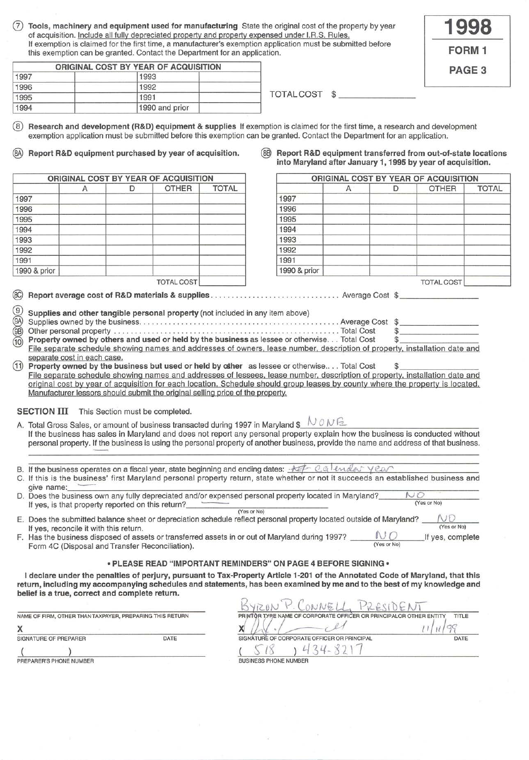Tools, machinery and equipment used for manufacturing State the original cost of the property by year of acquisition. Include all fully depreciated property and property expensed under I.R.S. Rules. If exemption is claimed for the first time, a manufacturer's exemption application must be submitted before this exemption can be granted. Contact the Department for an application.

| 998          |  |
|--------------|--|
| <b>FORM1</b> |  |
| PAGE 3       |  |

|      | ORIGINAL COST BY YEAR OF ACQUISITION |                  |  |
|------|--------------------------------------|------------------|--|
| 1997 | 1993                                 |                  |  |
| 1996 | 1992                                 |                  |  |
| 1995 | 1991                                 | <b>TOTALCOST</b> |  |
| 1994 | 1990 and prior                       |                  |  |

® **Research and development (R&D) equipment & supplies** If exemption is claimed for the first time, a research and development exemption application must be submitted before this exemption can be granted. Contact the Department for an application.

@ **Report R&D equipment purchased by year of acquisition.** @ **Report R&D equipment transferred from out-of-state locations** 

**ORIGINAL COST BY YEAR OF ACQUISITION** 1997 | 1997 | 1997 | 1997 | 1997 | 1997 | 1997 | 1997 | 1997 | 1997 | 1997 | 1997 | 1997 | 1997 | 1 1996 1996 1995 1995 1994 1994 1993 1993 1992 1992 1991 1991 1990 & prior 1990 & prior TOTAL COST

|  | into Maryland after January 1, 1995 by year of acquisition. |  |  |
|--|-------------------------------------------------------------|--|--|
|  | ORIGINAL COST BY YEAR OF ACQUISITION                        |  |  |
|  |                                                             |  |  |

| Α | D | <b>OTHER</b>      | TOTAL |              | Α | D | <b>OTHER</b>      | TOTAL |
|---|---|-------------------|-------|--------------|---|---|-------------------|-------|
|   |   |                   |       | 1997         |   |   |                   |       |
|   |   |                   |       | 1996         |   |   |                   |       |
|   |   |                   |       | 1995         |   |   |                   |       |
|   |   |                   |       | 1994         |   |   |                   |       |
|   |   |                   |       | 1993         |   |   |                   |       |
|   |   |                   |       | 1992         |   |   |                   |       |
|   |   |                   |       | 1991         |   |   |                   |       |
|   |   |                   |       | 1990 & prior |   |   |                   |       |
|   |   | <b>TOTAL COST</b> |       |              |   |   | <b>TOTAL COST</b> |       |

@ **Report average cost of R&D materials & supplies .** . . ... .. . .. ....... .. ... ........ Average Cost \$ \_\_\_\_\_\_\_ \_

| $\circledS$ Supplies and other tangible personal property (not included in any item above) |  |
|--------------------------------------------------------------------------------------------|--|
|                                                                                            |  |

| <sup>10</sup> Property owned by others and used or held by the business as lessee or otherwise Total Cost                 |  |
|---------------------------------------------------------------------------------------------------------------------------|--|
| File concrete cohodule chowing names and addresses of owners, logge number, description of proporty installation data and |  |

File separate schedule showing names and addresses of owners, lease number, description of property, installation date and separate cost in each case.

**Property owned by the business but used or held by other** as lessee or otherwise... . Total Cost  $\$$ File separate schedule showing names and addresses of lessees. lease number. description of property, installation date and original cost by year of acquisition for each location. Schedule should group leases by county where the property is located. Manufacturer lessors should submit the original selling price of the property.

**SECTION III** This Section must be completed.

- A. Total Gross Sales, or amount of business transacted during 1997 in Maryland  $\mathcal{S} \cup \mathcal{O} \cup \mathcal{O}$ <br>If the business has sales in Maryland and does not report any personal property explain how the business is conducted personal property. If the business is using the personal property of another business, provide the name and address of that business.
- B. If the business operates on a fiscal year, state beginning and ending dates:  $\pm \mathcal{I}^{\pm}$  Q.e.  $\ell$   $\ell$ *ndes*  $\gamma$   $\ell$ *a* $\gamma$
- C. If this is the business' first Maryland personal property return, state whether or not it succeeds an established business and give name: \_\_\_ \_\_\_\_\_\_\_\_\_\_\_\_ \_\_\_\_\_\_\_\_\_\_\_\_\_\_\_\_\_\_\_\_\_\_\_\_\_\_ \_
- give name:<br>D. Does the business own any fully depreciated and/or expensed personal property located in Maryland? \_\_\_\_\_\_\_\_ lf yes, is that property reported on this return?\_\_\_\_\_\_\_\_\_\_\_\_\_\_\_ (Yes or No) (Yes or No)
- E. Does the submitted balance sheet or depreciation schedule reflect personal property located outside of Maryland?  $N_{\text{S}}$  (Yes or No) If yes, reconcile it with this return.<br>Has the business disposed of assets or transferred assets in or out of Maryland during 1997?
- Has the business disposed of assets or transferred assets in or out of Maryland during 1997?  $\underbrace{\hspace{1cm}}_{(Yes or No)}$  If yes, complete Form 4C (Disposal and Transfer Reconciliation).

### **•PLEASE READ "IMPORTANT REMINDERS" ON PAGE 4 BEFORE SIGNING•**

**I declare under the penalties of perjury, pursuant to Tax-Property Article 1-201 of the Annotated Code of Maryland, that this return, including my accompanying schedules and statements, has been examined by me and to the best of my knowledge and belief is a true, correct and complete return.** 

| NAME OF FIRM, OTHER THAN TAXPAYER, PREPARING THIS RETURN<br>DATE<br>SIGNATURE OF PREPARER |  | PRINTOR TYPE NAME OF CC      |                        |
|-------------------------------------------------------------------------------------------|--|------------------------------|------------------------|
|                                                                                           |  |                              | SIGNATURE OF CORPORATE |
|                                                                                           |  |                              |                        |
| PREPARER'S PHONE NUMBER                                                                   |  | <b>BUSINESS PHONE NUMBER</b> |                        |

|                                                          |      | ONNE.                                                                       |      |  |
|----------------------------------------------------------|------|-----------------------------------------------------------------------------|------|--|
| NAME OF FIRM, OTHER THAN TAXPAYER, PREPARING THIS RETURN |      | TITLE<br>PRINTOR TYPE NAME OF CORPORATE OFFICER OR PRINCIPALOR OTHER ENTITY |      |  |
|                                                          |      |                                                                             |      |  |
| SIGNATURE OF PREPARER                                    | DATE | SIGNATURE OF CORPORATE OFFICER OR PRINCIPAL                                 | DATE |  |
|                                                          |      |                                                                             |      |  |
| PREPARER'S PHONE NUMBER                                  |      | <b>BUSINESS PHONE NUMBER</b>                                                |      |  |